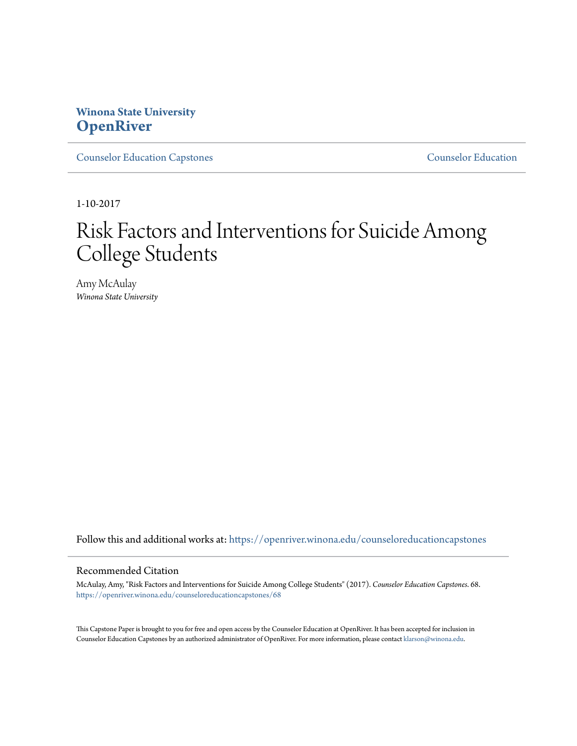# **Winona State University [OpenRiver](https://openriver.winona.edu?utm_source=openriver.winona.edu%2Fcounseloreducationcapstones%2F68&utm_medium=PDF&utm_campaign=PDFCoverPages)**

[Counselor Education Capstones](https://openriver.winona.edu/counseloreducationcapstones?utm_source=openriver.winona.edu%2Fcounseloreducationcapstones%2F68&utm_medium=PDF&utm_campaign=PDFCoverPages) [Counselor Education](https://openriver.winona.edu/counseloreducation?utm_source=openriver.winona.edu%2Fcounseloreducationcapstones%2F68&utm_medium=PDF&utm_campaign=PDFCoverPages)

1-10-2017

# Risk Factors and Interventions for Suicide Among College Students

Amy McAulay *Winona State University*

Follow this and additional works at: [https://openriver.winona.edu/counseloreducationcapstones](https://openriver.winona.edu/counseloreducationcapstones?utm_source=openriver.winona.edu%2Fcounseloreducationcapstones%2F68&utm_medium=PDF&utm_campaign=PDFCoverPages)

#### Recommended Citation

McAulay, Amy, "Risk Factors and Interventions for Suicide Among College Students" (2017). *Counselor Education Capstones*. 68. [https://openriver.winona.edu/counseloreducationcapstones/68](https://openriver.winona.edu/counseloreducationcapstones/68?utm_source=openriver.winona.edu%2Fcounseloreducationcapstones%2F68&utm_medium=PDF&utm_campaign=PDFCoverPages)

This Capstone Paper is brought to you for free and open access by the Counselor Education at OpenRiver. It has been accepted for inclusion in Counselor Education Capstones by an authorized administrator of OpenRiver. For more information, please contact [klarson@winona.edu](mailto:klarson@winona.edu).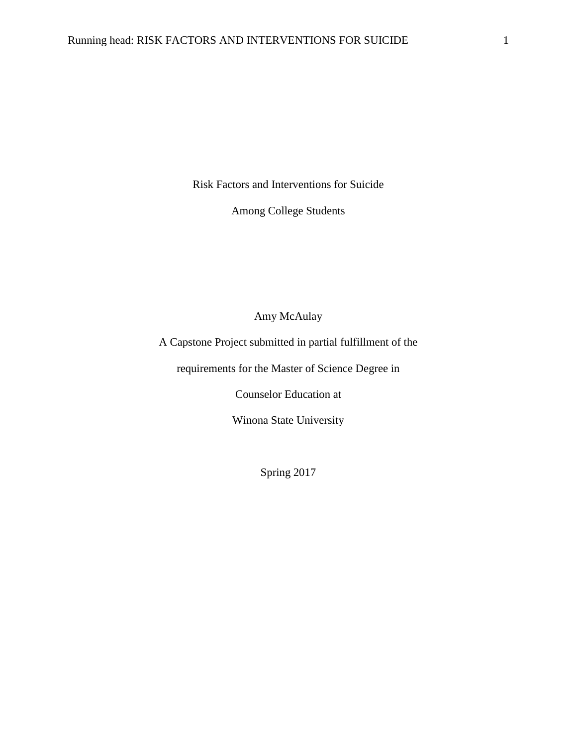Risk Factors and Interventions for Suicide

Among College Students

Amy McAulay

A Capstone Project submitted in partial fulfillment of the

requirements for the Master of Science Degree in

Counselor Education at

Winona State University

Spring 2017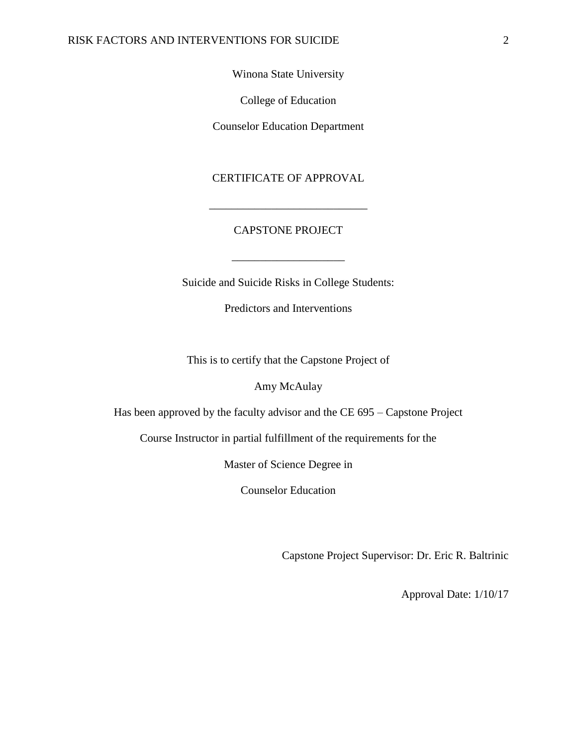## Winona State University

College of Education

Counselor Education Department

## CERTIFICATE OF APPROVAL

\_\_\_\_\_\_\_\_\_\_\_\_\_\_\_\_\_\_\_\_\_\_\_\_\_\_\_\_

## CAPSTONE PROJECT

\_\_\_\_\_\_\_\_\_\_\_\_\_\_\_\_\_\_\_\_

Suicide and Suicide Risks in College Students:

Predictors and Interventions

This is to certify that the Capstone Project of

Amy McAulay

Has been approved by the faculty advisor and the CE 695 – Capstone Project

Course Instructor in partial fulfillment of the requirements for the

Master of Science Degree in

Counselor Education

Capstone Project Supervisor: Dr. Eric R. Baltrinic

Approval Date: 1/10/17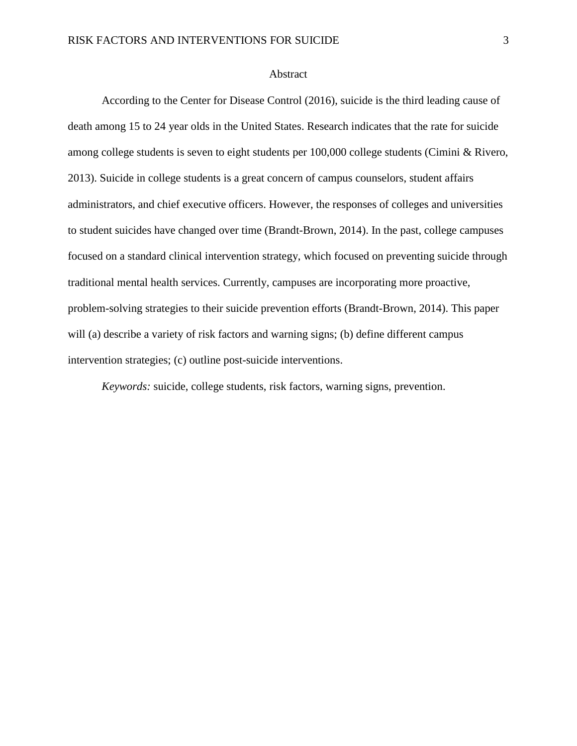## Abstract

According to the Center for Disease Control (2016), suicide is the third leading cause of death among 15 to 24 year olds in the United States. Research indicates that the rate for suicide among college students is seven to eight students per 100,000 college students (Cimini & Rivero, 2013). Suicide in college students is a great concern of campus counselors, student affairs administrators, and chief executive officers. However, the responses of colleges and universities to student suicides have changed over time (Brandt-Brown, 2014). In the past, college campuses focused on a standard clinical intervention strategy, which focused on preventing suicide through traditional mental health services. Currently, campuses are incorporating more proactive, problem-solving strategies to their suicide prevention efforts (Brandt-Brown, 2014). This paper will (a) describe a variety of risk factors and warning signs; (b) define different campus intervention strategies; (c) outline post-suicide interventions.

*Keywords:* suicide, college students, risk factors, warning signs, prevention.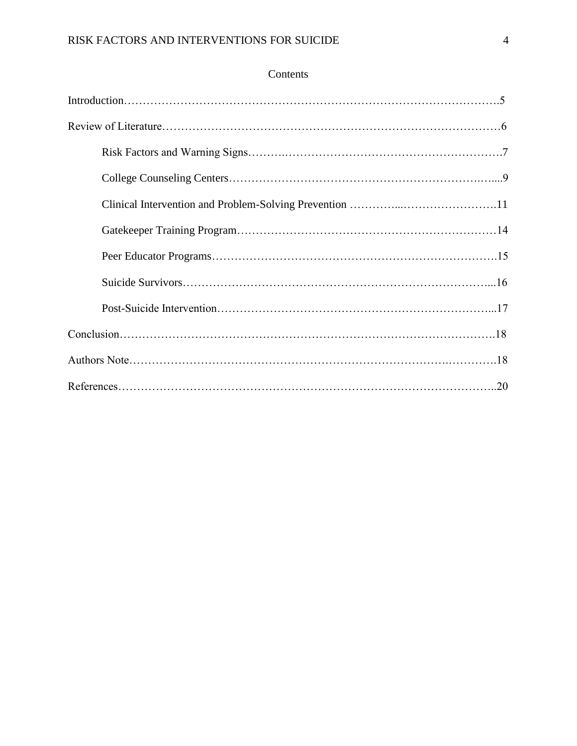## Contents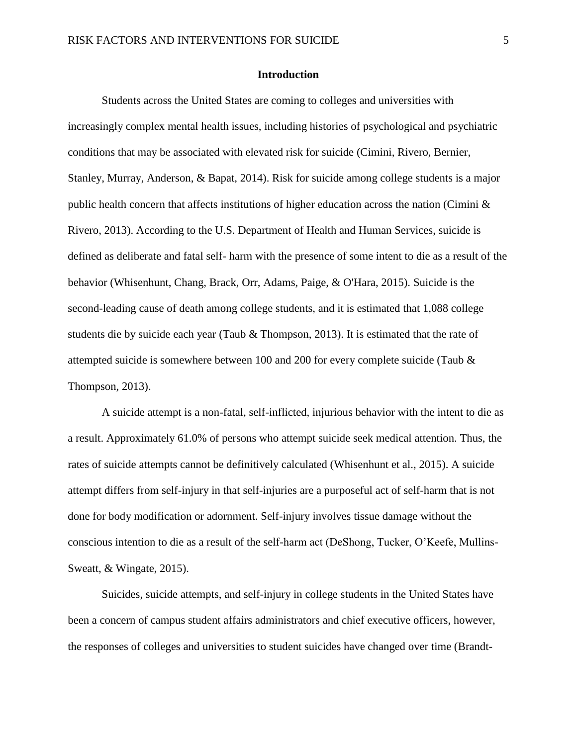## **Introduction**

Students across the United States are coming to colleges and universities with increasingly complex mental health issues, including histories of psychological and psychiatric conditions that may be associated with elevated risk for suicide (Cimini, Rivero, Bernier, Stanley, Murray, Anderson, & Bapat, 2014). Risk for suicide among college students is a major public health concern that affects institutions of higher education across the nation (Cimini & Rivero, 2013). According to the U.S. Department of Health and Human Services, suicide is defined as deliberate and fatal self- harm with the presence of some intent to die as a result of the behavior (Whisenhunt, Chang, Brack, Orr, Adams, Paige, & O'Hara, 2015). Suicide is the second-leading cause of death among college students, and it is estimated that 1,088 college students die by suicide each year (Taub & Thompson, 2013). It is estimated that the rate of attempted suicide is somewhere between 100 and 200 for every complete suicide (Taub & Thompson, 2013).

A suicide attempt is a non-fatal, self-inflicted, injurious behavior with the intent to die as a result. Approximately 61.0% of persons who attempt suicide seek medical attention. Thus, the rates of suicide attempts cannot be definitively calculated (Whisenhunt et al., 2015). A suicide attempt differs from self-injury in that self-injuries are a purposeful act of self-harm that is not done for body modification or adornment. Self-injury involves tissue damage without the conscious intention to die as a result of the self-harm act (DeShong, Tucker, O'Keefe, Mullins-Sweatt, & Wingate, 2015).

Suicides, suicide attempts, and self-injury in college students in the United States have been a concern of campus student affairs administrators and chief executive officers, however, the responses of colleges and universities to student suicides have changed over time (Brandt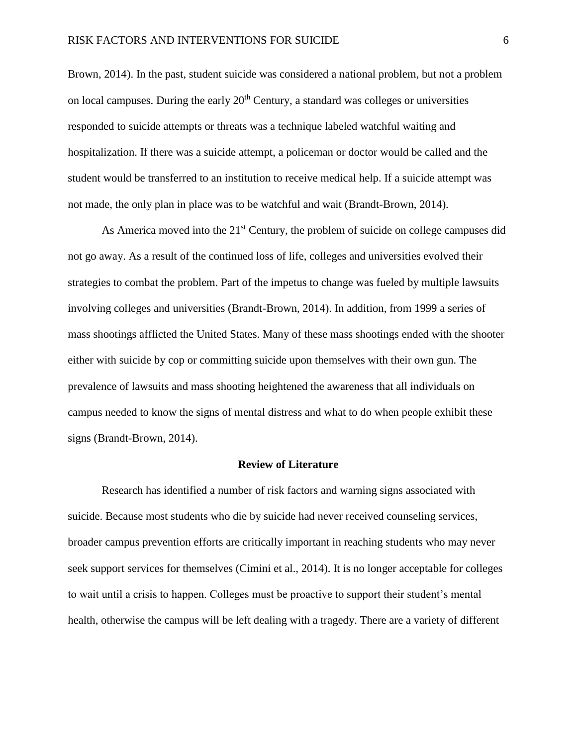Brown, 2014). In the past, student suicide was considered a national problem, but not a problem on local campuses. During the early  $20<sup>th</sup>$  Century, a standard was colleges or universities responded to suicide attempts or threats was a technique labeled watchful waiting and hospitalization. If there was a suicide attempt, a policeman or doctor would be called and the student would be transferred to an institution to receive medical help. If a suicide attempt was not made, the only plan in place was to be watchful and wait (Brandt-Brown, 2014).

As America moved into the 21<sup>st</sup> Century, the problem of suicide on college campuses did not go away. As a result of the continued loss of life, colleges and universities evolved their strategies to combat the problem. Part of the impetus to change was fueled by multiple lawsuits involving colleges and universities (Brandt-Brown, 2014). In addition, from 1999 a series of mass shootings afflicted the United States. Many of these mass shootings ended with the shooter either with suicide by cop or committing suicide upon themselves with their own gun. The prevalence of lawsuits and mass shooting heightened the awareness that all individuals on campus needed to know the signs of mental distress and what to do when people exhibit these signs (Brandt-Brown, 2014).

## **Review of Literature**

Research has identified a number of risk factors and warning signs associated with suicide. Because most students who die by suicide had never received counseling services, broader campus prevention efforts are critically important in reaching students who may never seek support services for themselves (Cimini et al., 2014). It is no longer acceptable for colleges to wait until a crisis to happen. Colleges must be proactive to support their student's mental health, otherwise the campus will be left dealing with a tragedy. There are a variety of different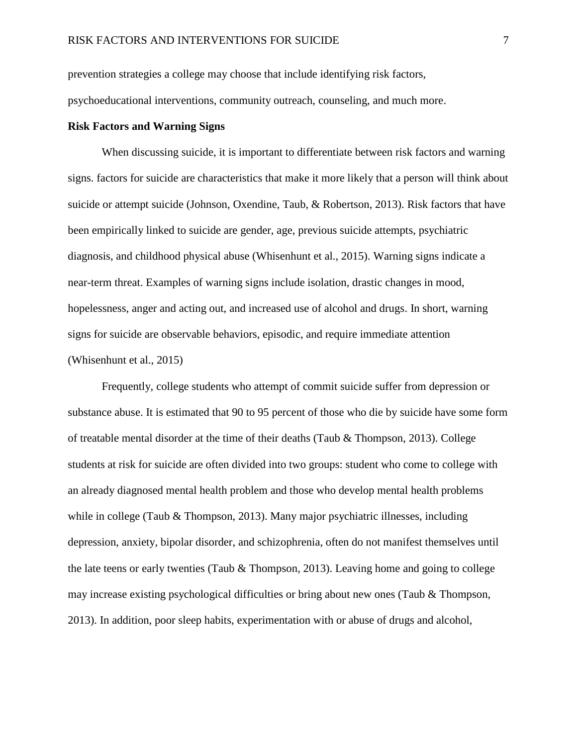prevention strategies a college may choose that include identifying risk factors,

psychoeducational interventions, community outreach, counseling, and much more.

## **Risk Factors and Warning Signs**

When discussing suicide, it is important to differentiate between risk factors and warning signs. factors for suicide are characteristics that make it more likely that a person will think about suicide or attempt suicide (Johnson, Oxendine, Taub, & Robertson, 2013). Risk factors that have been empirically linked to suicide are gender, age, previous suicide attempts, psychiatric diagnosis, and childhood physical abuse (Whisenhunt et al., 2015). Warning signs indicate a near-term threat. Examples of warning signs include isolation, drastic changes in mood, hopelessness, anger and acting out, and increased use of alcohol and drugs. In short, warning signs for suicide are observable behaviors, episodic, and require immediate attention (Whisenhunt et al., 2015)

Frequently, college students who attempt of commit suicide suffer from depression or substance abuse. It is estimated that 90 to 95 percent of those who die by suicide have some form of treatable mental disorder at the time of their deaths (Taub & Thompson, 2013). College students at risk for suicide are often divided into two groups: student who come to college with an already diagnosed mental health problem and those who develop mental health problems while in college (Taub & Thompson, 2013). Many major psychiatric illnesses, including depression, anxiety, bipolar disorder, and schizophrenia, often do not manifest themselves until the late teens or early twenties (Taub & Thompson, 2013). Leaving home and going to college may increase existing psychological difficulties or bring about new ones (Taub & Thompson, 2013). In addition, poor sleep habits, experimentation with or abuse of drugs and alcohol,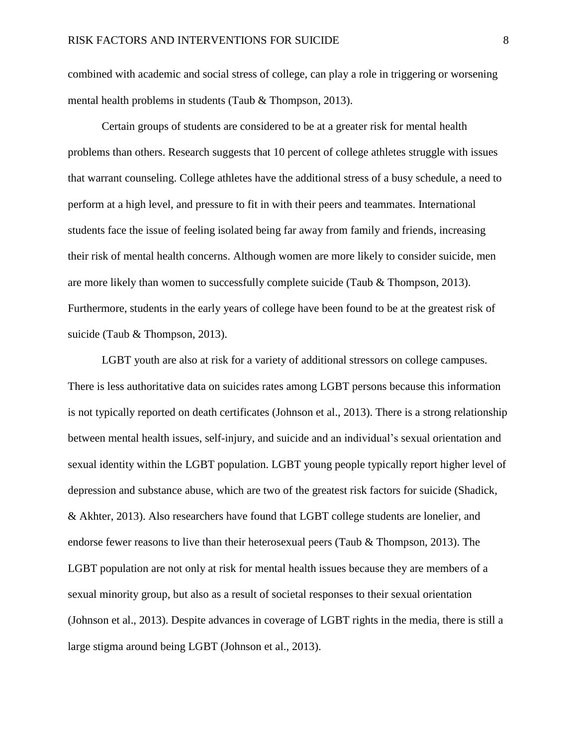combined with academic and social stress of college, can play a role in triggering or worsening mental health problems in students (Taub & Thompson, 2013).

Certain groups of students are considered to be at a greater risk for mental health problems than others. Research suggests that 10 percent of college athletes struggle with issues that warrant counseling. College athletes have the additional stress of a busy schedule, a need to perform at a high level, and pressure to fit in with their peers and teammates. International students face the issue of feeling isolated being far away from family and friends, increasing their risk of mental health concerns. Although women are more likely to consider suicide, men are more likely than women to successfully complete suicide (Taub & Thompson, 2013). Furthermore, students in the early years of college have been found to be at the greatest risk of suicide (Taub & Thompson, 2013).

LGBT youth are also at risk for a variety of additional stressors on college campuses. There is less authoritative data on suicides rates among LGBT persons because this information is not typically reported on death certificates (Johnson et al., 2013). There is a strong relationship between mental health issues, self-injury, and suicide and an individual's sexual orientation and sexual identity within the LGBT population. LGBT young people typically report higher level of depression and substance abuse, which are two of the greatest risk factors for suicide (Shadick, & Akhter, 2013). Also researchers have found that LGBT college students are lonelier, and endorse fewer reasons to live than their heterosexual peers (Taub & Thompson, 2013). The LGBT population are not only at risk for mental health issues because they are members of a sexual minority group, but also as a result of societal responses to their sexual orientation (Johnson et al., 2013). Despite advances in coverage of LGBT rights in the media, there is still a large stigma around being LGBT (Johnson et al., 2013).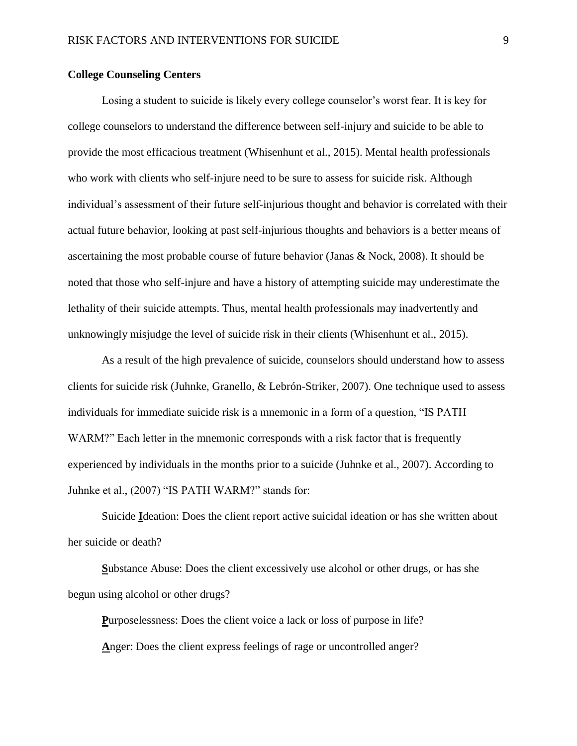## **College Counseling Centers**

Losing a student to suicide is likely every college counselor's worst fear. It is key for college counselors to understand the difference between self-injury and suicide to be able to provide the most efficacious treatment (Whisenhunt et al., 2015). Mental health professionals who work with clients who self-injure need to be sure to assess for suicide risk. Although individual's assessment of their future self-injurious thought and behavior is correlated with their actual future behavior, looking at past self-injurious thoughts and behaviors is a better means of ascertaining the most probable course of future behavior (Janas & Nock, 2008). It should be noted that those who self-injure and have a history of attempting suicide may underestimate the lethality of their suicide attempts. Thus, mental health professionals may inadvertently and unknowingly misjudge the level of suicide risk in their clients (Whisenhunt et al., 2015).

As a result of the high prevalence of suicide, counselors should understand how to assess clients for suicide risk (Juhnke, Granello, & Lebrón-Striker, 2007). One technique used to assess individuals for immediate suicide risk is a mnemonic in a form of a question, "IS PATH WARM?" Each letter in the mnemonic corresponds with a risk factor that is frequently experienced by individuals in the months prior to a suicide (Juhnke et al., 2007). According to Juhnke et al., (2007) "IS PATH WARM?" stands for:

Suicide **I**deation: Does the client report active suicidal ideation or has she written about her suicide or death?

**S**ubstance Abuse: Does the client excessively use alcohol or other drugs, or has she begun using alcohol or other drugs?

**P**urposelessness: Does the client voice a lack or loss of purpose in life? **A**nger: Does the client express feelings of rage or uncontrolled anger?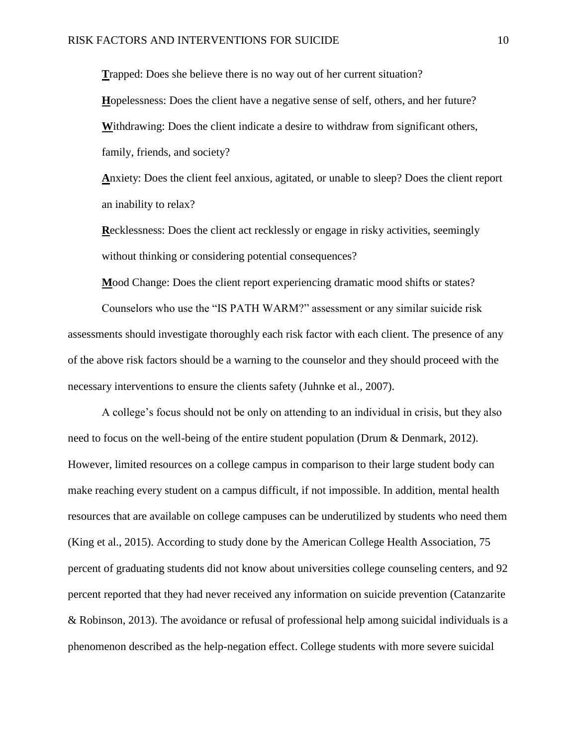**T**rapped: Does she believe there is no way out of her current situation? **H**opelessness: Does the client have a negative sense of self, others, and her future? **W**ithdrawing: Does the client indicate a desire to withdraw from significant others, family, friends, and society?

**A**nxiety: Does the client feel anxious, agitated, or unable to sleep? Does the client report an inability to relax?

**R**ecklessness: Does the client act recklessly or engage in risky activities, seemingly without thinking or considering potential consequences?

**M**ood Change: Does the client report experiencing dramatic mood shifts or states?

Counselors who use the "IS PATH WARM?" assessment or any similar suicide risk assessments should investigate thoroughly each risk factor with each client. The presence of any of the above risk factors should be a warning to the counselor and they should proceed with the necessary interventions to ensure the clients safety (Juhnke et al., 2007).

A college's focus should not be only on attending to an individual in crisis, but they also need to focus on the well-being of the entire student population (Drum & Denmark, 2012). However, limited resources on a college campus in comparison to their large student body can make reaching every student on a campus difficult, if not impossible. In addition, mental health resources that are available on college campuses can be underutilized by students who need them (King et al., 2015). According to study done by the American College Health Association, 75 percent of graduating students did not know about universities college counseling centers, and 92 percent reported that they had never received any information on suicide prevention (Catanzarite & Robinson, 2013). The avoidance or refusal of professional help among suicidal individuals is a phenomenon described as the help-negation effect. College students with more severe suicidal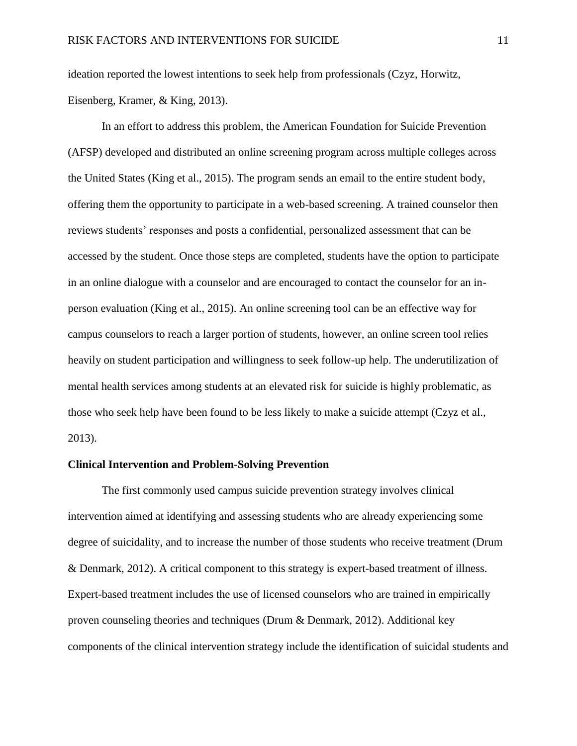ideation reported the lowest intentions to seek help from professionals (Czyz, Horwitz, Eisenberg, Kramer, & King, 2013).

In an effort to address this problem, the American Foundation for Suicide Prevention (AFSP) developed and distributed an online screening program across multiple colleges across the United States (King et al., 2015). The program sends an email to the entire student body, offering them the opportunity to participate in a web-based screening. A trained counselor then reviews students' responses and posts a confidential, personalized assessment that can be accessed by the student. Once those steps are completed, students have the option to participate in an online dialogue with a counselor and are encouraged to contact the counselor for an inperson evaluation (King et al., 2015). An online screening tool can be an effective way for campus counselors to reach a larger portion of students, however, an online screen tool relies heavily on student participation and willingness to seek follow-up help. The underutilization of mental health services among students at an elevated risk for suicide is highly problematic, as those who seek help have been found to be less likely to make a suicide attempt (Czyz et al., 2013).

## **Clinical Intervention and Problem-Solving Prevention**

The first commonly used campus suicide prevention strategy involves clinical intervention aimed at identifying and assessing students who are already experiencing some degree of suicidality, and to increase the number of those students who receive treatment (Drum & Denmark, 2012). A critical component to this strategy is expert-based treatment of illness. Expert-based treatment includes the use of licensed counselors who are trained in empirically proven counseling theories and techniques (Drum & Denmark, 2012). Additional key components of the clinical intervention strategy include the identification of suicidal students and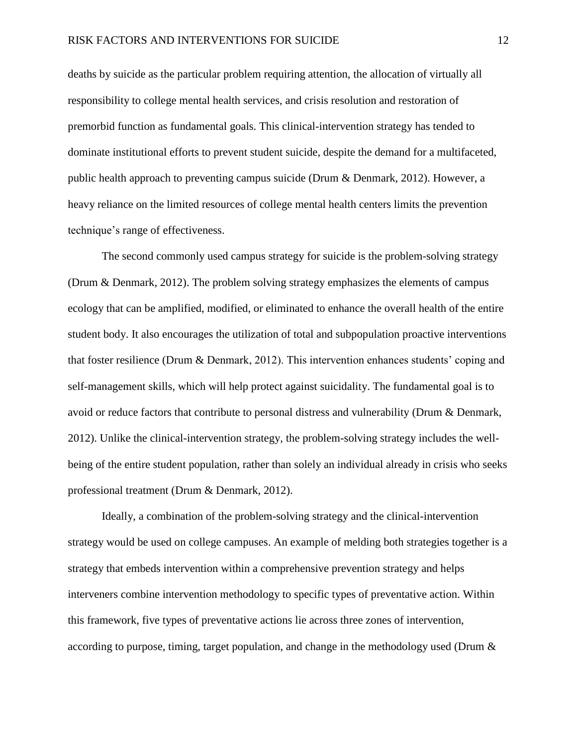deaths by suicide as the particular problem requiring attention, the allocation of virtually all responsibility to college mental health services, and crisis resolution and restoration of premorbid function as fundamental goals. This clinical-intervention strategy has tended to dominate institutional efforts to prevent student suicide, despite the demand for a multifaceted, public health approach to preventing campus suicide (Drum & Denmark, 2012). However, a heavy reliance on the limited resources of college mental health centers limits the prevention technique's range of effectiveness.

The second commonly used campus strategy for suicide is the problem-solving strategy (Drum & Denmark, 2012). The problem solving strategy emphasizes the elements of campus ecology that can be amplified, modified, or eliminated to enhance the overall health of the entire student body. It also encourages the utilization of total and subpopulation proactive interventions that foster resilience (Drum & Denmark, 2012). This intervention enhances students' coping and self-management skills, which will help protect against suicidality. The fundamental goal is to avoid or reduce factors that contribute to personal distress and vulnerability (Drum & Denmark, 2012). Unlike the clinical-intervention strategy, the problem-solving strategy includes the wellbeing of the entire student population, rather than solely an individual already in crisis who seeks professional treatment (Drum & Denmark, 2012).

Ideally, a combination of the problem-solving strategy and the clinical-intervention strategy would be used on college campuses. An example of melding both strategies together is a strategy that embeds intervention within a comprehensive prevention strategy and helps interveners combine intervention methodology to specific types of preventative action. Within this framework, five types of preventative actions lie across three zones of intervention, according to purpose, timing, target population, and change in the methodology used (Drum &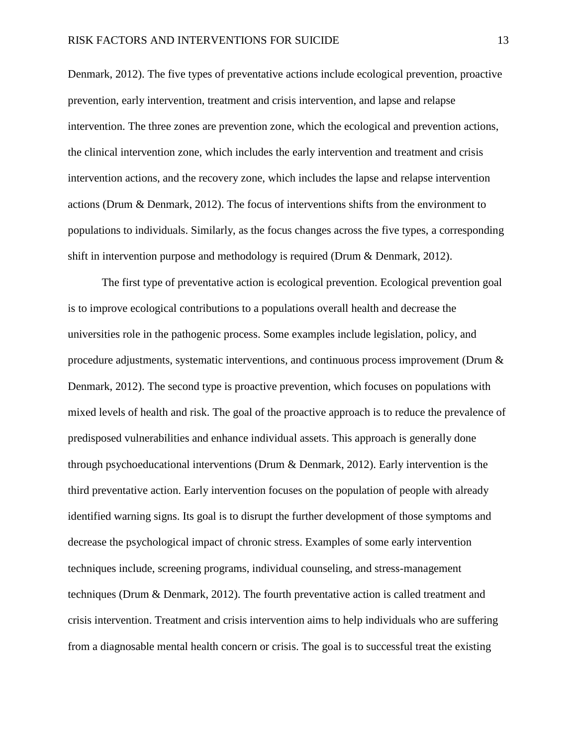Denmark, 2012). The five types of preventative actions include ecological prevention, proactive prevention, early intervention, treatment and crisis intervention, and lapse and relapse intervention. The three zones are prevention zone, which the ecological and prevention actions, the clinical intervention zone, which includes the early intervention and treatment and crisis intervention actions, and the recovery zone, which includes the lapse and relapse intervention actions (Drum & Denmark, 2012). The focus of interventions shifts from the environment to populations to individuals. Similarly, as the focus changes across the five types, a corresponding shift in intervention purpose and methodology is required (Drum & Denmark, 2012).

The first type of preventative action is ecological prevention. Ecological prevention goal is to improve ecological contributions to a populations overall health and decrease the universities role in the pathogenic process. Some examples include legislation, policy, and procedure adjustments, systematic interventions, and continuous process improvement (Drum & Denmark, 2012). The second type is proactive prevention, which focuses on populations with mixed levels of health and risk. The goal of the proactive approach is to reduce the prevalence of predisposed vulnerabilities and enhance individual assets. This approach is generally done through psychoeducational interventions (Drum & Denmark, 2012). Early intervention is the third preventative action. Early intervention focuses on the population of people with already identified warning signs. Its goal is to disrupt the further development of those symptoms and decrease the psychological impact of chronic stress. Examples of some early intervention techniques include, screening programs, individual counseling, and stress-management techniques (Drum & Denmark, 2012). The fourth preventative action is called treatment and crisis intervention. Treatment and crisis intervention aims to help individuals who are suffering from a diagnosable mental health concern or crisis. The goal is to successful treat the existing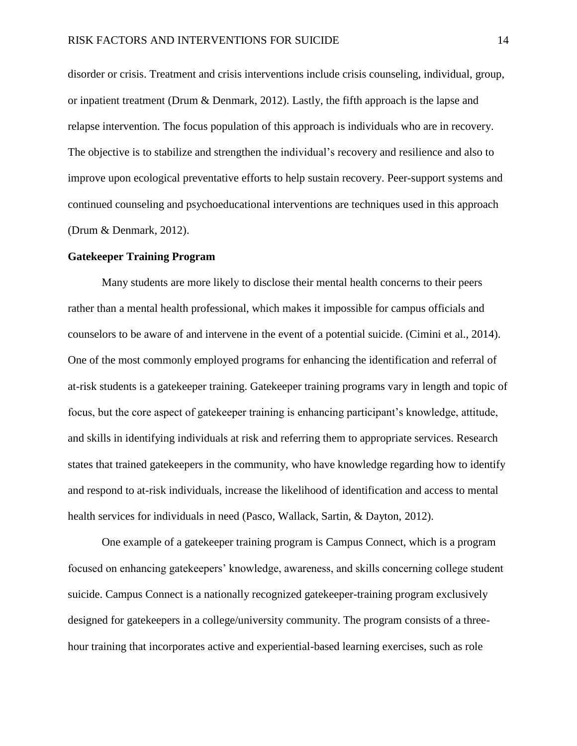disorder or crisis. Treatment and crisis interventions include crisis counseling, individual, group, or inpatient treatment (Drum & Denmark, 2012). Lastly, the fifth approach is the lapse and relapse intervention. The focus population of this approach is individuals who are in recovery. The objective is to stabilize and strengthen the individual's recovery and resilience and also to improve upon ecological preventative efforts to help sustain recovery. Peer-support systems and continued counseling and psychoeducational interventions are techniques used in this approach (Drum & Denmark, 2012).

## **Gatekeeper Training Program**

Many students are more likely to disclose their mental health concerns to their peers rather than a mental health professional, which makes it impossible for campus officials and counselors to be aware of and intervene in the event of a potential suicide. (Cimini et al., 2014). One of the most commonly employed programs for enhancing the identification and referral of at-risk students is a gatekeeper training. Gatekeeper training programs vary in length and topic of focus, but the core aspect of gatekeeper training is enhancing participant's knowledge, attitude, and skills in identifying individuals at risk and referring them to appropriate services. Research states that trained gatekeepers in the community, who have knowledge regarding how to identify and respond to at-risk individuals, increase the likelihood of identification and access to mental health services for individuals in need (Pasco, Wallack, Sartin, & Dayton, 2012).

One example of a gatekeeper training program is Campus Connect, which is a program focused on enhancing gatekeepers' knowledge, awareness, and skills concerning college student suicide. Campus Connect is a nationally recognized gatekeeper-training program exclusively designed for gatekeepers in a college/university community. The program consists of a threehour training that incorporates active and experiential-based learning exercises, such as role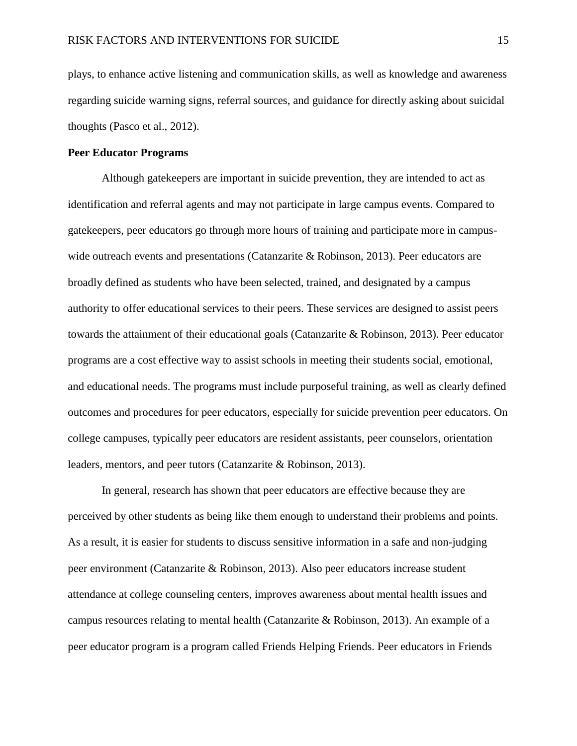plays, to enhance active listening and communication skills, as well as knowledge and awareness regarding suicide warning signs, referral sources, and guidance for directly asking about suicidal thoughts (Pasco et al., 2012).

## **Peer Educator Programs**

Although gatekeepers are important in suicide prevention, they are intended to act as identification and referral agents and may not participate in large campus events. Compared to gatekeepers, peer educators go through more hours of training and participate more in campuswide outreach events and presentations (Catanzarite & Robinson, 2013). Peer educators are broadly defined as students who have been selected, trained, and designated by a campus authority to offer educational services to their peers. These services are designed to assist peers towards the attainment of their educational goals (Catanzarite & Robinson, 2013). Peer educator programs are a cost effective way to assist schools in meeting their students social, emotional, and educational needs. The programs must include purposeful training, as well as clearly defined outcomes and procedures for peer educators, especially for suicide prevention peer educators. On college campuses, typically peer educators are resident assistants, peer counselors, orientation leaders, mentors, and peer tutors (Catanzarite & Robinson, 2013).

In general, research has shown that peer educators are effective because they are perceived by other students as being like them enough to understand their problems and points. As a result, it is easier for students to discuss sensitive information in a safe and non-judging peer environment (Catanzarite & Robinson, 2013). Also peer educators increase student attendance at college counseling centers, improves awareness about mental health issues and campus resources relating to mental health (Catanzarite & Robinson, 2013). An example of a peer educator program is a program called Friends Helping Friends. Peer educators in Friends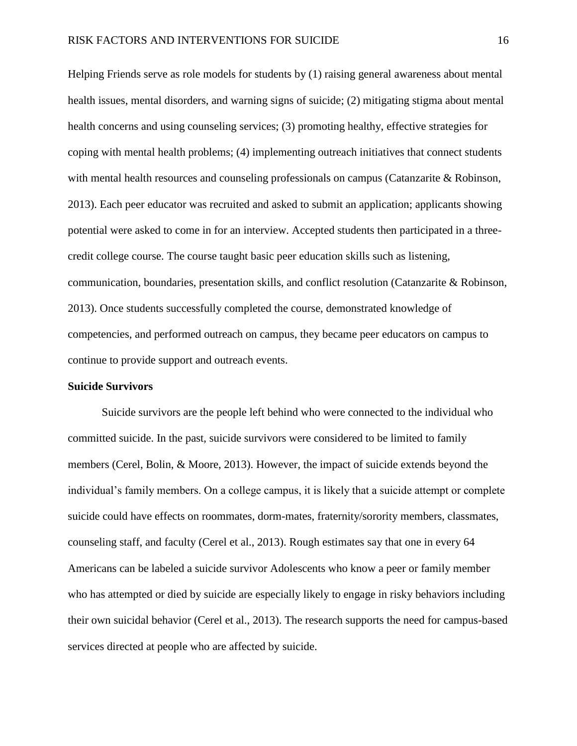Helping Friends serve as role models for students by (1) raising general awareness about mental health issues, mental disorders, and warning signs of suicide; (2) mitigating stigma about mental health concerns and using counseling services; (3) promoting healthy, effective strategies for coping with mental health problems; (4) implementing outreach initiatives that connect students with mental health resources and counseling professionals on campus (Catanzarite & Robinson, 2013). Each peer educator was recruited and asked to submit an application; applicants showing potential were asked to come in for an interview. Accepted students then participated in a threecredit college course. The course taught basic peer education skills such as listening, communication, boundaries, presentation skills, and conflict resolution (Catanzarite & Robinson, 2013). Once students successfully completed the course, demonstrated knowledge of competencies, and performed outreach on campus, they became peer educators on campus to continue to provide support and outreach events.

## **Suicide Survivors**

Suicide survivors are the people left behind who were connected to the individual who committed suicide. In the past, suicide survivors were considered to be limited to family members (Cerel, Bolin, & Moore, 2013). However, the impact of suicide extends beyond the individual's family members. On a college campus, it is likely that a suicide attempt or complete suicide could have effects on roommates, dorm-mates, fraternity/sorority members, classmates, counseling staff, and faculty (Cerel et al., 2013). Rough estimates say that one in every 64 Americans can be labeled a suicide survivor Adolescents who know a peer or family member who has attempted or died by suicide are especially likely to engage in risky behaviors including their own suicidal behavior (Cerel et al., 2013). The research supports the need for campus-based services directed at people who are affected by suicide.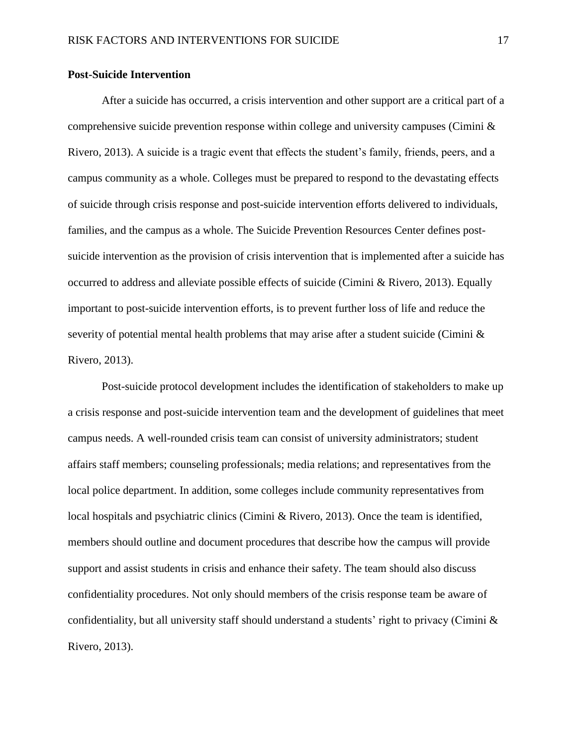## **Post-Suicide Intervention**

After a suicide has occurred, a crisis intervention and other support are a critical part of a comprehensive suicide prevention response within college and university campuses (Cimini  $\&$ Rivero, 2013). A suicide is a tragic event that effects the student's family, friends, peers, and a campus community as a whole. Colleges must be prepared to respond to the devastating effects of suicide through crisis response and post-suicide intervention efforts delivered to individuals, families, and the campus as a whole. The Suicide Prevention Resources Center defines postsuicide intervention as the provision of crisis intervention that is implemented after a suicide has occurred to address and alleviate possible effects of suicide (Cimini & Rivero, 2013). Equally important to post-suicide intervention efforts, is to prevent further loss of life and reduce the severity of potential mental health problems that may arise after a student suicide (Cimini & Rivero, 2013).

Post-suicide protocol development includes the identification of stakeholders to make up a crisis response and post-suicide intervention team and the development of guidelines that meet campus needs. A well-rounded crisis team can consist of university administrators; student affairs staff members; counseling professionals; media relations; and representatives from the local police department. In addition, some colleges include community representatives from local hospitals and psychiatric clinics (Cimini & Rivero, 2013). Once the team is identified, members should outline and document procedures that describe how the campus will provide support and assist students in crisis and enhance their safety. The team should also discuss confidentiality procedures. Not only should members of the crisis response team be aware of confidentiality, but all university staff should understand a students' right to privacy (Cimini  $\&$ Rivero, 2013).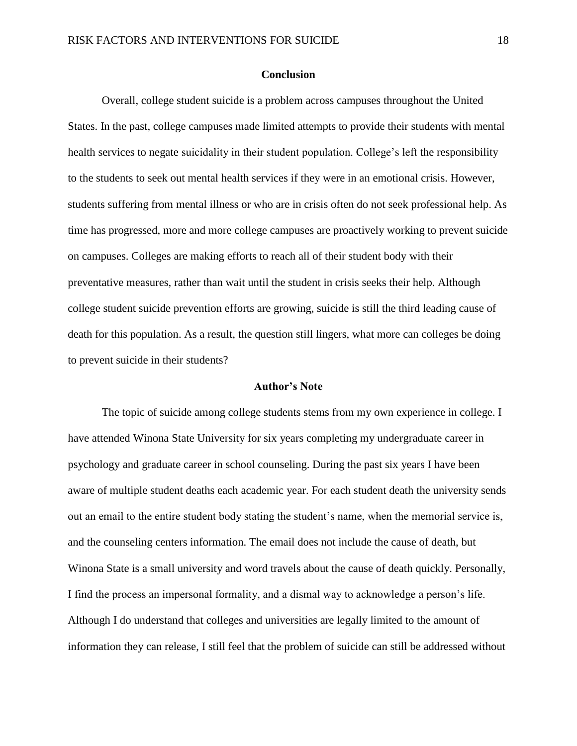## **Conclusion**

Overall, college student suicide is a problem across campuses throughout the United States. In the past, college campuses made limited attempts to provide their students with mental health services to negate suicidality in their student population. College's left the responsibility to the students to seek out mental health services if they were in an emotional crisis. However, students suffering from mental illness or who are in crisis often do not seek professional help. As time has progressed, more and more college campuses are proactively working to prevent suicide on campuses. Colleges are making efforts to reach all of their student body with their preventative measures, rather than wait until the student in crisis seeks their help. Although college student suicide prevention efforts are growing, suicide is still the third leading cause of death for this population. As a result, the question still lingers, what more can colleges be doing to prevent suicide in their students?

#### **Author's Note**

The topic of suicide among college students stems from my own experience in college. I have attended Winona State University for six years completing my undergraduate career in psychology and graduate career in school counseling. During the past six years I have been aware of multiple student deaths each academic year. For each student death the university sends out an email to the entire student body stating the student's name, when the memorial service is, and the counseling centers information. The email does not include the cause of death, but Winona State is a small university and word travels about the cause of death quickly. Personally, I find the process an impersonal formality, and a dismal way to acknowledge a person's life. Although I do understand that colleges and universities are legally limited to the amount of information they can release, I still feel that the problem of suicide can still be addressed without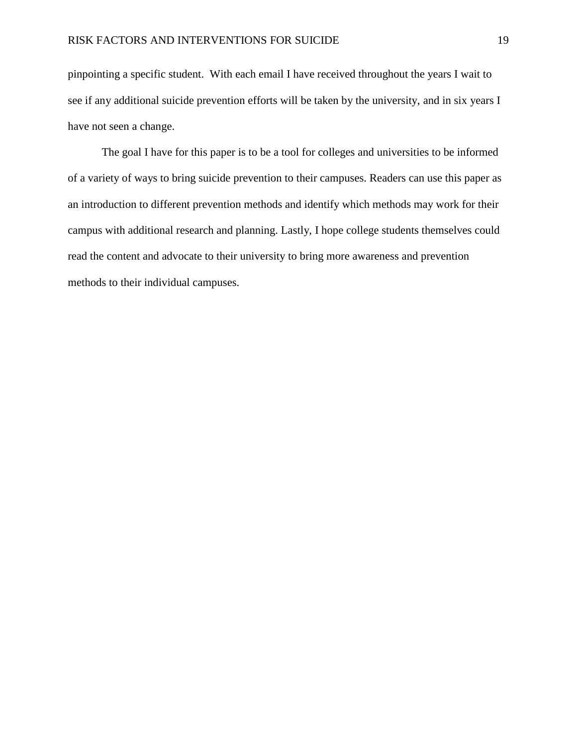pinpointing a specific student. With each email I have received throughout the years I wait to see if any additional suicide prevention efforts will be taken by the university, and in six years I have not seen a change.

The goal I have for this paper is to be a tool for colleges and universities to be informed of a variety of ways to bring suicide prevention to their campuses. Readers can use this paper as an introduction to different prevention methods and identify which methods may work for their campus with additional research and planning. Lastly, I hope college students themselves could read the content and advocate to their university to bring more awareness and prevention methods to their individual campuses.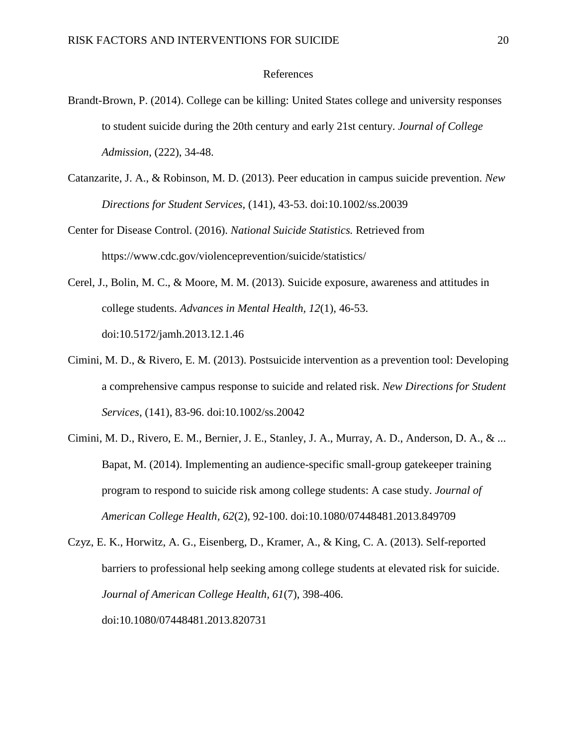## References

- Brandt-Brown, P. (2014). College can be killing: United States college and university responses to student suicide during the 20th century and early 21st century. *Journal of College Admission*, (222), 34-48.
- Catanzarite, J. A., & Robinson, M. D. (2013). Peer education in campus suicide prevention. *New Directions for Student Services,* (141), 43-53. doi:10.1002/ss.20039
- Center for Disease Control. (2016). *National Suicide Statistics.* Retrieved from https://www.cdc.gov/violenceprevention/suicide/statistics/
- Cerel, J., Bolin, M. C., & Moore, M. M. (2013). Suicide exposure, awareness and attitudes in college students. *Advances in Mental Health, 12*(1), 46-53. doi:10.5172/jamh.2013.12.1.46
- Cimini, M. D., & Rivero, E. M. (2013). Postsuicide intervention as a prevention tool: Developing a comprehensive campus response to suicide and related risk. *New Directions for Student Services*, (141), 83-96. doi:10.1002/ss.20042
- Cimini, M. D., Rivero, E. M., Bernier, J. E., Stanley, J. A., Murray, A. D., Anderson, D. A., & ... Bapat, M. (2014). Implementing an audience-specific small-group gatekeeper training program to respond to suicide risk among college students: A case study. *Journal of American College Health, 62*(2), 92-100. doi:10.1080/07448481.2013.849709
- Czyz, E. K., Horwitz, A. G., Eisenberg, D., Kramer, A., & King, C. A. (2013). Self-reported barriers to professional help seeking among college students at elevated risk for suicide. *Journal of American College Health, 61*(7), 398-406. doi:10.1080/07448481.2013.820731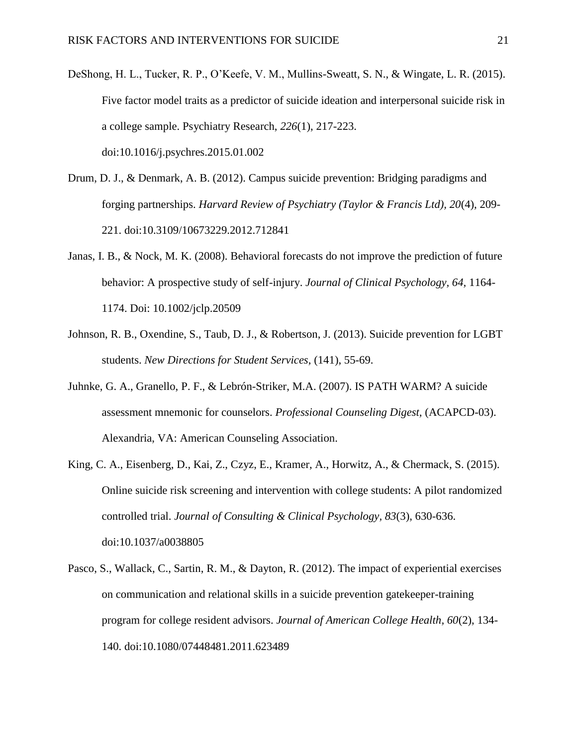- DeShong, H. L., Tucker, R. P., O'Keefe, V. M., Mullins-Sweatt, S. N., & Wingate, L. R. (2015). Five factor model traits as a predictor of suicide ideation and interpersonal suicide risk in a college sample. Psychiatry Research, *226*(1), 217-223. doi:10.1016/j.psychres.2015.01.002
- Drum, D. J., & Denmark, A. B. (2012). Campus suicide prevention: Bridging paradigms and forging partnerships. *Harvard Review of Psychiatry (Taylor & Francis Ltd), 20*(4), 209- 221. doi:10.3109/10673229.2012.712841
- Janas, I. B., & Nock, M. K. (2008). Behavioral forecasts do not improve the prediction of future behavior: A prospective study of self-injury. *Journal of Clinical Psychology, 64,* 1164- 1174. Doi: 10.1002/jclp.20509
- Johnson, R. B., Oxendine, S., Taub, D. J., & Robertson, J. (2013). Suicide prevention for LGBT students. *New Directions for Student Services,* (141), 55-69.
- Juhnke, G. A., Granello, P. F., & Lebrón-Striker, M.A. (2007). IS PATH WARM? A suicide assessment mnemonic for counselors. *Professional Counseling Digest,* (ACAPCD-03). Alexandria, VA: American Counseling Association.
- King, C. A., Eisenberg, D., Kai, Z., Czyz, E., Kramer, A., Horwitz, A., & Chermack, S. (2015). Online suicide risk screening and intervention with college students: A pilot randomized controlled trial. *Journal of Consulting & Clinical Psychology, 83*(3), 630-636. doi:10.1037/a0038805
- Pasco, S., Wallack, C., Sartin, R. M., & Dayton, R. (2012). The impact of experiential exercises on communication and relational skills in a suicide prevention gatekeeper-training program for college resident advisors. *Journal of American College Health, 60*(2), 134- 140. doi:10.1080/07448481.2011.623489